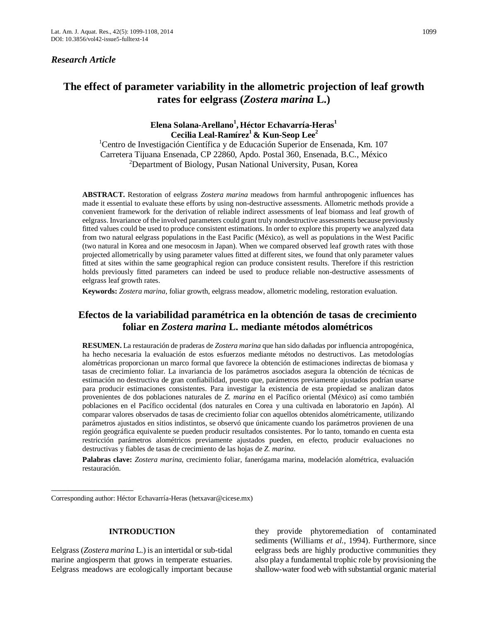### *Research Article*

# **The effect of parameter variability in the allometric projection of leaf growth rates for eelgrass (***Zostera marina* **L.)**

## **Elena Solana-Arellano<sup>1</sup> , Héctor Echavarría-Heras<sup>1</sup> Cecilia Leal-Ramírez<sup>1</sup> & Kun-Seop Lee<sup>2</sup>**

<sup>1</sup>Centro de Investigación Científica y de Educación Superior de Ensenada, Km. 107 Carretera Tijuana Ensenada, CP 22860, Apdo. Postal 360, Ensenada, B.C., México <sup>2</sup>Department of Biology, Pusan National University, Pusan, Korea

**ABSTRACT.** Restoration of eelgrass *Zostera marina* meadows from harmful anthropogenic influences has made it essential to evaluate these efforts by using non-destructive assessments. Allometric methods provide a convenient framework for the derivation of reliable indirect assessments of leaf biomass and leaf growth of eelgrass. Invariance of the involved parameters could grant truly nondestructive assessments because previously fitted values could be used to produce consistent estimations. In order to explore this property we analyzed data from two natural eelgrass populations in the East Pacific (México), as well as populations in the West Pacific (two natural in Korea and one mesocosm in Japan). When we compared observed leaf growth rates with those projected allometrically by using parameter values fitted at different sites, we found that only parameter values fitted at sites within the same geographical region can produce consistent results. Therefore if this restriction holds previously fitted parameters can indeed be used to produce reliable non-destructive assessments of eelgrass leaf growth rates.

**Keywords:** *Zostera marina*, foliar growth, eelgrass meadow, allometric modeling, restoration evaluation.

## **Efectos de la variabilidad paramétrica en la obtención de tasas de crecimiento foliar en** *Zostera marina* **L. mediante métodos alométricos**

**RESUMEN.** La restauración de praderas de *Zostera marina* que han sido dañadas por influencia antropogénica, ha hecho necesaria la evaluación de estos esfuerzos mediante métodos no destructivos. Las metodologías alométricas proporcionan un marco formal que favorece la obtención de estimaciones indirectas de biomasa y tasas de crecimiento foliar. La invariancia de los parámetros asociados asegura la obtención de técnicas de estimación no destructiva de gran confiabilidad, puesto que, parámetros previamente ajustados podrían usarse para producir estimaciones consistentes. Para investigar la existencia de esta propiedad se analizan datos provenientes de dos poblaciones naturales de *Z. marina* en el Pacífico oriental (México) así como también poblaciones en el Pacífico occidental (dos naturales en Corea y una cultivada en laboratorio en Japón). Al comparar valores observados de tasas de crecimiento foliar con aquellos obtenidos alométricamente, utilizando parámetros ajustados en sitios indistintos, se observó que únicamente cuando los parámetros provienen de una región geográfica equivalente se pueden producir resultados consistentes. Por lo tanto, tomando en cuenta esta restricción parámetros alométricos previamente ajustados pueden, en efecto, producir evaluaciones no destructivas y fiables de tasas de crecimiento de las hojas de *Z. marina*.

**Palabras clave:** *Zostera marina*, crecimiento foliar, fanerógama marina, modelación alométrica, evaluación restauración.

#### **INTRODUCTION**

\_\_\_\_\_\_\_\_\_\_\_\_\_\_\_\_\_\_\_

Eelgrass (*Zostera marina* L.) is an intertidal or sub-tidal marine angiosperm that grows in temperate estuaries. Eelgrass meadows are ecologically important because they provide phytoremediation of contaminated sediments (Williams *et al.*, 1994). Furthermore, since eelgrass beds are highly productive communities they also play a fundamental trophic role by provisioning the shallow-water food web with substantial organic material

Corresponding author: Héctor Echavarría-Heras [\(hetxavar@cicese.mx\)](mailto:hetxavar@cicese.mx)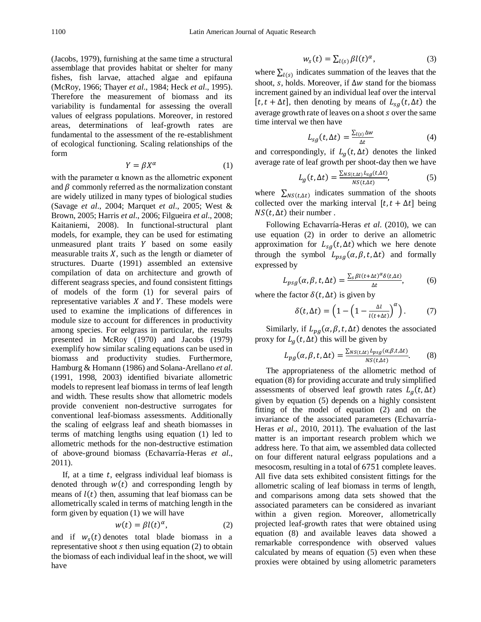(Jacobs, 1979), furnishing at the same time a structural assemblage that provides habitat or shelter for many fishes, fish larvae, attached algae and epifauna (McRoy, 1966; Thayer *et al*., 1984; Heck *et al*., 1995). Therefore the measurement of biomass and its variability is fundamental for assessing the overall values of eelgrass populations. Moreover, in restored areas, determinations of leaf-growth rates are fundamental to the assessment of the re-establishment of ecological functioning. Scaling relationships of the form

$$
Y = \beta X^{\alpha} \tag{1}
$$

with the parameter  $\alpha$  known as the allometric exponent and  $\beta$  commonly referred as the normalization constant are widely utilized in many types of biological studies (Savage *et al*., 2004; Marquet *et al*., 2005; West & Brown, 2005; Harris *et al*., 2006; Filgueira *et al*., 2008; Kaitaniemi, 2008). In functional-structural plant models, for example, they can be used for estimating unmeasured plant traits  $Y$  based on some easily measurable traits  $X$ , such as the length or diameter of structures. Duarte (1991) assembled an extensive compilation of data on architecture and growth of different seagrass species, and found consistent fittings of models of the form (1) for several pairs of representative variables  $X$  and  $Y$ . These models were used to examine the implications of differences in module size to account for differences in productivity among species. For eelgrass in particular, the results presented in McRoy (1970) and Jacobs (1979) exemplify how similar scaling equations can be used in biomass and productivity studies. Furthermore, Hamburg & Homann (1986) and Solana-Arellano *et al*. (1991, 1998, 2003) identified bivariate allometric models to represent leaf biomass in terms of leaf length and width. These results show that allometric models provide convenient non-destructive surrogates for conventional leaf-biomass assessments. Additionally the scaling of eelgrass leaf and sheath biomasses in terms of matching lengths using equation (1) led to allometric methods for the non-destructive estimation of above-ground biomass (Echavarría-Heras *et al*., 2011).

If, at a time  $t$ , eelgrass individual leaf biomass is denoted through  $w(t)$  and corresponding length by means of  $l(t)$  then, assuming that leaf biomass can be allometrically scaled in terms of matching length in the form given by equation (1) we will have

$$
w(t) = \beta l(t)^{\alpha}, \qquad (2)
$$

and if  $w_s(t)$  denotes total blade biomass in a representative shoot  $s$  then using equation (2) to obtain the biomass of each individual leaf in the shoot, we will have

$$
w_s(t) = \sum_{l(s)} \beta l(t)^{\alpha}, \qquad (3)
$$

where  $\sum_{l(s)}$  indicates summation of the leaves that the shoot, s, holds. Moreover, if  $\Delta w$  stand for the biomass increment gained by an individual leaf over the interval [ $t, t + \Delta t$ ], then denoting by means of  $L_{sa}(t, \Delta t)$  the average growth rate of leaves on a shoot s over the same time interval we then have

$$
L_{sg}(t, \Delta t) = \frac{\sum_{l(s)} \Delta w}{\Delta t}
$$
 (4)

and correspondingly, if  $L_g(t, \Delta t)$  denotes the linked average rate of leaf growth per shoot-day then we have

$$
L_g(t, \Delta t) = \frac{\sum_{NS(t, \Delta t)} L_{sg}(t, \Delta t)}{NS(t, \Delta t)},
$$
\n(5)

where  $\sum_{NS(t,\Delta t)}$  indicates summation of the shoots collected over the marking interval  $[t, t + \Delta t]$  being  $NS(t, \Delta t)$  their number.

Following Echavarría-Heras *et al*. (2010), we can use equation (2) in order to derive an allometric approximation for  $L_{sg}(t, \Delta t)$  which we here denote through the symbol  $L_{psq}(\alpha, \beta, t, \Delta t)$  and formally expressed by

$$
L_{psg}(\alpha, \beta, t, \Delta t) = \frac{\sum_{s} \beta l(t + \Delta t)^{\alpha} \delta(t, \Delta t)}{\Delta t},
$$
 (6)

where the factor  $\delta(t, \Delta t)$  is given by

$$
\delta(t, \Delta t) = \left(1 - \left(1 - \frac{\Delta l}{l(t + \Delta t)}\right)^{\alpha}\right). \tag{7}
$$

Similarly, if  $L_{pg}(\alpha, \beta, t, \Delta t)$  denotes the associated proxy for  $L_g(t, \Delta t)$  this will be given by

$$
L_{pg}(\alpha, \beta, t, \Delta t) = \frac{\sum_{NS(t, \Delta t)} L_{psg}(\alpha, \beta, t, \Delta t)}{NS(t, \Delta t)}.
$$
 (8)

The appropriateness of the allometric method of equation (8) for providing accurate and truly simplified assessments of observed leaf growth rates  $L_g(t, \Delta t)$ given by equation (5) depends on a highly consistent fitting of the model of equation (2) and on the invariance of the associated parameters (Echavarría-Heras *et al*., 2010, 2011). The evaluation of the last matter is an important research problem which we address here. To that aim, we assembled data collected on four different natural eelgrass populations and a mesocosm, resulting in a total of 6751 complete leaves. All five data sets exhibited consistent fittings for the allometric scaling of leaf biomass in terms of length, and comparisons among data sets showed that the associated parameters can be considered as invariant within a given region. Moreover, allometrically projected leaf-growth rates that were obtained using equation (8) and available leaves data showed a remarkable correspondence with observed values calculated by means of equation (5) even when these proxies were obtained by using allometric parameters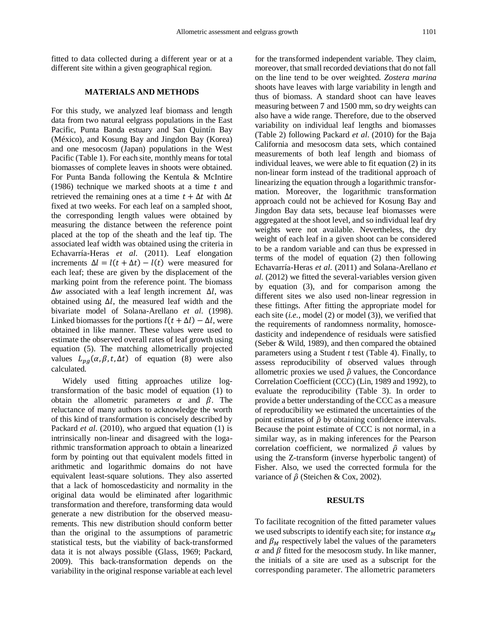fitted to data collected during a different year or at a different site within a given geographical region.

#### **MATERIALS AND METHODS**

For this study, we analyzed leaf biomass and length data from two natural eelgrass populations in the East Pacific, Punta Banda estuary and San Quintín Bay (México), and Kosung Bay and Jingdon Bay (Korea) and one mesocosm (Japan) populations in the West Pacific (Table 1). For each site, monthly means for total biomasses of complete leaves in shoots were obtained. For Punta Banda following the Kentula & McIntire  $(1986)$  technique we marked shoots at a time t and retrieved the remaining ones at a time  $t + \Delta t$  with  $\Delta t$ fixed at two weeks. For each leaf on a sampled shoot, the corresponding length values were obtained by measuring the distance between the reference point placed at the top of the sheath and the leaf tip. The associated leaf width was obtained using the criteria in Echavarría-Heras *et al*. (2011). Leaf elongation increments  $\Delta l = l(t + \Delta t) - l(t)$  were measured for each leaf; these are given by the displacement of the marking point from the reference point. The biomass  $\Delta w$  associated with a leaf length increment  $\Delta l$ , was obtained using  $\Delta l$ , the measured leaf width and the bivariate model of Solana-Arellano *et al*. (1998). Linked biomasses for the portions  $l(t + \Delta l) - \Delta l$ , were obtained in like manner. These values were used to estimate the observed overall rates of leaf growth using equation (5). The matching allometrically projected values  $L_{pg}(\alpha, \beta, t, \Delta t)$  of equation (8) were also calculated.

Widely used fitting approaches utilize logtransformation of the basic model of equation (1) to obtain the allometric parameters  $\alpha$  and  $\beta$ . The reluctance of many authors to acknowledge the worth of this kind of transformation is concisely described by Packard *et al*. (2010), who argued that equation (1) is intrinsically non-linear and disagreed with the logarithmic transformation approach to obtain a linearized form by pointing out that equivalent models fitted in arithmetic and logarithmic domains do not have equivalent least-square solutions. They also asserted that a lack of homoscedasticity and normality in the original data would be eliminated after logarithmic transformation and therefore, transforming data would generate a new distribution for the observed measurements. This new distribution should conform better than the original to the assumptions of parametric statistical tests, but the viability of back-transformed data it is not always possible (Glass, 1969; Packard, 2009). This back-transformation depends on the variability in the original response variable at each level

for the transformed independent variable. They claim, moreover, that small recorded deviations that do not fall on the line tend to be over weighted*. Zostera marina* shoots have leaves with large variability in length and thus of biomass. A standard shoot can have leaves measuring between 7 and 1500 mm, so dry weights can also have a wide range. Therefore, due to the observed variability on individual leaf lengths and biomasses (Table 2) following Packard *et al*. (2010) for the Baja California and mesocosm data sets, which contained measurements of both leaf length and biomass of individual leaves, we were able to fit equation (2) in its non-linear form instead of the traditional approach of linearizing the equation through a logarithmic transformation. Moreover, the logarithmic transformation approach could not be achieved for Kosung Bay and Jingdon Bay data sets, because leaf biomasses were aggregated at the shoot level, and so individual leaf dry weights were not available. Nevertheless, the dry weight of each leaf in a given shoot can be considered to be a random variable and can thus be expressed in terms of the model of equation (2) then following Echavarría-Heras *et al*. (2011) and Solana-Arellano *et al*. (2012) we fitted the several-variables version given by equation (3), and for comparison among the different sites we also used non-linear regression in these fittings. After fitting the appropriate model for each site (*i.e.*, model (2) or model (3)), we verified that the requirements of randomness normality, homoscedasticity and independence of residuals were satisfied (Seber & Wild, 1989), and then compared the obtained parameters using a Student *t* test (Table 4). Finally, to assess reproducibility of observed values through allometric proxies we used  $\hat{\rho}$  values, the Concordance Correlation Coefficient (CCC) (Lin, 1989 and 1992), to evaluate the reproducibility (Table 3). In order to provide a better understanding of the CCC as a measure of reproducibility we estimated the uncertainties of the point estimates of  $\hat{\rho}$  by obtaining confidence intervals. Because the point estimate of CCC is not normal, in a similar way, as in making inferences for the Pearson correlation coefficient, we normalized  $\hat{\rho}$  values by using the Z-transform (inverse hyperbolic tangent) of Fisher. Also, we used the corrected formula for the variance of  $\hat{\rho}$  (Steichen & Cox, 2002).

#### **RESULTS**

To facilitate recognition of the fitted parameter values we used subscripts to identify each site; for instance  $\alpha_M$ and  $\beta_M$  respectively label the values of the parameters  $\alpha$  and  $\beta$  fitted for the mesocosm study. In like manner, the initials of a site are used as a subscript for the corresponding parameter. The allometric parameters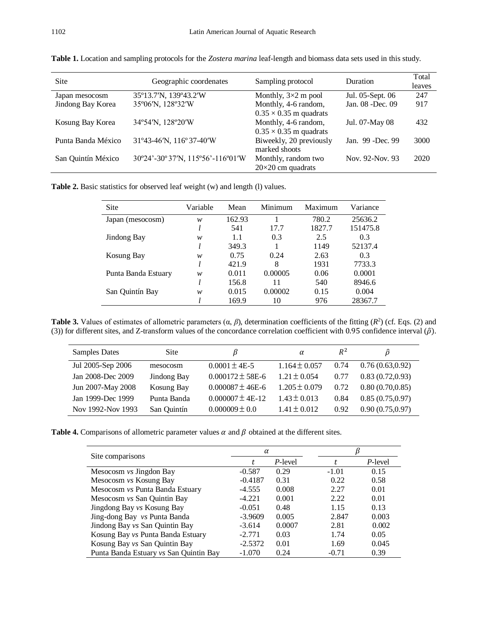| <b>Site</b>        | Geographic coordenates           | Sampling protocol             | Duration          | Total<br>leaves |
|--------------------|----------------------------------|-------------------------------|-------------------|-----------------|
| Japan mesocosm     | 35°13.7'N, 139°43.2'W            | Monthly, $3\times 2$ m pool   | Jul. 05-Sept. 06  | 247             |
| Jindong Bay Korea  | 35°06'N, 128°32'W                | Monthly, 4-6 random,          | Jan. 08 - Dec. 09 | 917             |
|                    |                                  | $0.35 \times 0.35$ m quadrats |                   |                 |
| Kosung Bay Korea   | 34°54'N, 128°20'W                | Monthly, 4-6 random,          | Jul. 07-May 08    | 432             |
|                    |                                  | $0.35 \times 0.35$ m quadrats |                   |                 |
| Punta Banda México | 31°43-46'N, 116°37-40'W          | Biweekly, 20 previously       | Jan. 99 - Dec. 99 | 3000            |
|                    |                                  | marked shoots                 |                   |                 |
| San Quintín México | 30°24'-30°37'N, 115°56'-116°01'W | Monthly, random two           | Nov. 92-Nov. 93   | 2020            |
|                    |                                  | $20\times20$ cm quadrats      |                   |                 |

**Table 1.** Location and sampling protocols for the *Zostera marina* leaf-length and biomass data sets used in this study.

**Table 2.** Basic statistics for observed leaf weight (w) and length (l) values.

| <b>Site</b>         | Variable | Mean   | Minimum | Maximum | Variance |
|---------------------|----------|--------|---------|---------|----------|
| Japan (mesocosm)    | w        | 162.93 |         | 780.2   | 25636.2  |
|                     |          | 541    | 17.7    | 1827.7  | 151475.8 |
| Jindong Bay         | w        | 1.1    | 0.3     | 2.5     | 0.3      |
|                     |          | 349.3  |         | 1149    | 52137.4  |
| Kosung Bay          | w        | 0.75   | 0.24    | 2.63    | 0.3      |
|                     |          | 421.9  | 8       | 1931    | 7733.3   |
| Punta Banda Estuary | w        | 0.011  | 0.00005 | 0.06    | 0.0001   |
|                     |          | 156.8  | 11      | 540     | 8946.6   |
| San Ouintín Bay     | w        | 0.015  | 0.00002 | 0.15    | 0.004    |
|                     |          | 169.9  | 10      | 976     | 28367.7  |

**Table 3.** Values of estimates of allometric parameters  $(\alpha, \beta)$ , determination coefficients of the fitting  $(R^2)$  (cf. Eqs. (2) and (3)) for different sites, and Z-transform values of the concordance correlation coefficient with 0.95 confidence interval  $(\hat{\rho})$ .

| <b>Samples Dates</b> | <b>Site</b> |                        | α                 | $R^2$ | ô                |
|----------------------|-------------|------------------------|-------------------|-------|------------------|
| Jul 2005-Sep 2006    | mesocosm    | $0.0001 \pm 4E-5$      | $1.164 \pm 0.057$ | 0.74  | 0.76(0.63,0.92)  |
| Jan 2008-Dec 2009    | Jindong Bay | $0.000172 \pm 58E - 6$ | $1.21 \pm 0.054$  | 0.77  | 0.83(0.72, 0.93) |
| Jun 2007-May 2008    | Kosung Bay  | $0.000087 \pm 46E - 6$ | $1.205 \pm 0.079$ | 0.72  | 0.80(0.70, 0.85) |
| Jan 1999-Dec 1999    | Punta Banda | $0.000007 \pm 4E-12$   | $1.43 \pm 0.013$  | 0.84  | 0.85(0.75, 0.97) |
| Nov 1992-Nov 1993    | San Quintín | $0.000009 \pm 0.0$     | $1.41 \pm 0.012$  | 0.92  | 0.90(0.75, 0.97) |

**Table 4.** Comparisons of allometric parameter values  $\alpha$  and  $\beta$  obtained at the different sites.

|                                        | α         |         |         |         |  |
|----------------------------------------|-----------|---------|---------|---------|--|
| Site comparisons                       |           | P-level |         | P-level |  |
| Mesocosm vs Jingdon Bay                | $-0.587$  | 0.29    | $-1.01$ | 0.15    |  |
| Mesocosm vs Kosung Bay                 | $-0.4187$ | 0.31    | 0.22    | 0.58    |  |
| Mesocosm vs Punta Banda Estuary        | $-4.555$  | 0.008   | 2.27    | 0.01    |  |
| Mesocosm vs San Quintin Bay            | $-4.221$  | 0.001   | 2.22    | 0.01    |  |
| Jingdong Bay vs Kosung Bay             | $-0.051$  | 0.48    | 1.15    | 0.13    |  |
| Jing-dong Bay vs Punta Banda           | $-3.9609$ | 0.005   | 2.847   | 0.003   |  |
| Jindong Bay vs San Quintin Bay         | $-3.614$  | 0.0007  | 2.81    | 0.002   |  |
| Kosung Bay vs Punta Banda Estuary      | $-2.771$  | 0.03    | 1.74    | 0.05    |  |
| Kosung Bay vs San Quintin Bay          | $-2.5372$ | 0.01    | 1.69    | 0.045   |  |
| Punta Banda Estuary vs San Quintin Bay | $-1.070$  | 0.24    | $-0.71$ | 0.39    |  |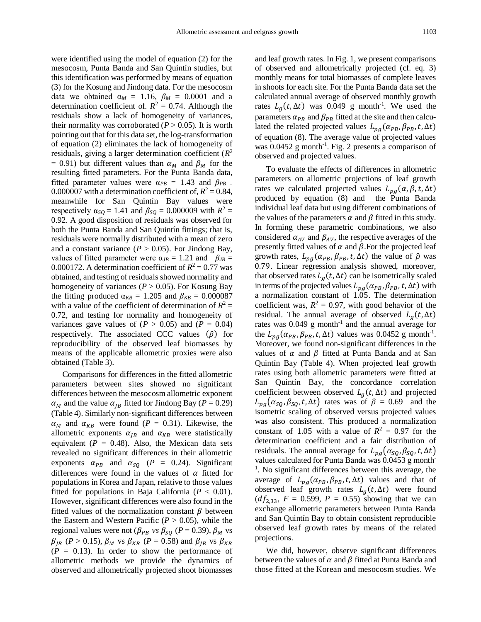were identified using the model of equation (2) for the mesocosm, Punta Banda and San Quintín studies, but this identification was performed by means of equation (3) for the Kosung and Jindong data. For the mesocosm data we obtained  $\alpha_M = 1.16$ ,  $\beta_M = 0.0001$  and a determination coefficient of.  $R^2 = 0.74$ . Although the residuals show a lack of homogeneity of variances, their normality was corroborated  $(P > 0.05)$ . It is worth pointing out that for this data set, the log-transformation of equation (2) eliminates the lack of homogeneity of residuals, giving a larger determination coefficient (*R* 2  $= 0.91$ ) but different values than  $\alpha_M$  and  $\beta_M$  for the resulting fitted parameters. For the Punta Banda data, fitted parameter values were  $\alpha_{PB} = 1.43$  and  $\beta_{PB} =$ 0.000007 with a determination coefficient of,  $R^2 = 0.84$ , meanwhile for San Quintín Bay values were respectively  $\alpha_{SQ} = 1.41$  and  $\beta_{SQ} = 0.000009$  with  $R^2 =$ 0.92. A good disposition of residuals was observed for both the Punta Banda and San Quintín fittings; that is, residuals were normally distributed with a mean of zero and a constant variance  $(P > 0.05)$ . For Jindong Bay, values of fitted parameter were  $\alpha_{JB} = 1.21$  and  $\beta_{JB} =$ 0.000172. A determination coefficient of  $R^2 = 0.77$  was obtained, and testing of residuals showed normality and homogeneity of variances  $(P > 0.05)$ . For Kosung Bay the fitting produced  $\alpha_{KB} = 1.205$  and  $\beta_{KB} = 0.000087$ with a value of the coefficient of determination of  $R^2 =$ 0.72, and testing for normality and homogeneity of variances gave values of  $(P > 0.05)$  and  $(P = 0.04)$ respectively. The associated CCC values  $(\hat{\rho})$  for reproducibility of the observed leaf biomasses by means of the applicable allometric proxies were also obtained (Table 3).

Comparisons for differences in the fitted allometric parameters between sites showed no significant differences between the mesocosm allometric exponent  $\alpha_M$  and the value  $\alpha_{IB}$  fitted for Jindong Bay (*P* = 0.29) (Table 4). Similarly non-significant differences between  $\alpha_M$  and  $\alpha_{KB}$  were found (*P* = 0.31). Likewise, the allometric exponents  $\alpha_{IB}$  and  $\alpha_{KB}$  were statistically equivalent  $(P = 0.48)$ . Also, the Mexican data sets revealed no significant differences in their allometric exponents  $\alpha_{PB}$  and  $\alpha_{SQ}$  (P = 0.24). Significant differences were found in the values of  $\alpha$  fitted for populations in Korea and Japan, relative to those values fitted for populations in Baja California ( $P < 0.01$ ). However, significant differences were also found in the fitted values of the normalization constant  $\beta$  between the Eastern and Western Pacific  $(P > 0.05)$ , while the regional values were not ( $\beta_{PB}$  vs  $\beta_{SQ}$  ( $P = 0.39$ ),  $\beta_M$  vs  $\beta_{IB}$  (*P* > 0.15),  $\beta_M$  vs  $\beta_{KB}$  (*P* = 0.58) and  $\beta_{IB}$  vs  $\beta_{KB}$  $(P = 0.13)$ . In order to show the performance of allometric methods we provide the dynamics of observed and allometrically projected shoot biomasses

and leaf growth rates. In Fig. 1, we present comparisons of observed and allometrically projected (cf. eq. 3) monthly means for total biomasses of complete leaves in shoots for each site. For the Punta Banda data set the calculated annual average of observed monthly growth rates  $L_g(t, \Delta t)$  was 0.049 g month<sup>-1</sup>. We used the parameters  $\alpha_{PB}$  and  $\beta_{PB}$  fitted at the site and then calculated the related projected values  $L_{pq}(\alpha_{PB}, \beta_{PB}, t, \Delta t)$ of equation (8). The average value of projected values was  $0.0452$  g month<sup>-1</sup>. Fig. 2 presents a comparison of observed and projected values.

To evaluate the effects of differences in allometric parameters on allometric projections of leaf growth rates we calculated projected values  $L_{pg}(\alpha, \beta, t, \Delta t)$ produced by equation (8) and the Punta Banda individual leaf data but using different combinations of the values of the parameters  $\alpha$  and  $\beta$  fitted in this study. In forming these parametric combinations, we also considered  $\alpha_{AV}$  and  $\beta_{AV}$ , the respective averages of the presently fitted values of  $\alpha$  and  $\beta$ . For the projected leaf growth rates,  $L_{pq}(\alpha_{PB}, \beta_{PB}, t, \Delta t)$  the value of  $\hat{\rho}$  was 0.79. Linear regression analysis showed, moreover, that observed rates  $L_g(t, \Delta t)$  can be isometrically scaled in terms of the projected values  $L_{pq}(\alpha_{PB}, \beta_{PB}, t, \Delta t)$  with a normalization constant of 1.05. The determination coefficient was,  $R^2 = 0.97$ , with good behavior of the residual. The annual average of observed  $L_g(t, \Delta t)$ rates was  $0.049$  g month<sup>-1</sup> and the annual average for the  $L_{pg}(\alpha_{PB}, \beta_{PB}, t, \Delta t)$  values was 0.0452 g month<sup>-1</sup>. Moreover, we found non-significant differences in the values of  $\alpha$  and  $\beta$  fitted at Punta Banda and at San Quintín Bay (Table 4). When projected leaf growth rates using both allometric parameters were fitted at San Quintín Bay, the concordance correlation coefficient between observed  $L_g(t, \Delta t)$  and projected  $L_{pq}(\alpha_{SO}, \beta_{SO}, t, \Delta t)$  rates was of  $\hat{\rho} = 0.69$  and the isometric scaling of observed versus projected values was also consistent. This produced a normalization constant of 1.05 with a value of  $R^2 = 0.97$  for the determination coefficient and a fair distribution of residuals. The annual average for  $L_{pq}(\alpha_{SO}, \beta_{SO}, t, \Delta t)$ values calculated for Punta Banda was 0.0453 g month-<sup>1</sup>. No significant differences between this average, the average of  $L_{pg}(\alpha_{PB}, \beta_{PB}, t, \Delta t)$  values and that of observed leaf growth rates  $L_g(t, \Delta t)$  were found  $(df_{2,33}, F = 0.599, P = 0.55)$  showing that we can exchange allometric parameters between Punta Banda and San Quintín Bay to obtain consistent reproducible observed leaf growth rates by means of the related projections.

We did, however, observe significant differences between the values of  $\alpha$  and  $\beta$  fitted at Punta Banda and those fitted at the Korean and mesocosm studies. We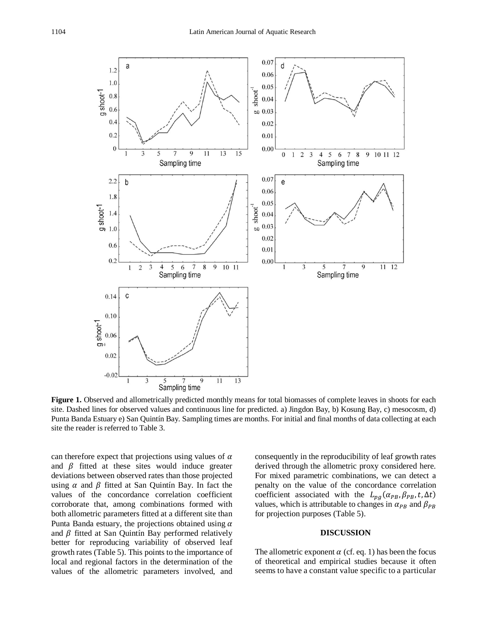

**Figure 1.** Observed and allometrically predicted monthly means for total biomasses of complete leaves in shoots for each site. Dashed lines for observed values and continuous line for predicted. a) Jingdon Bay, b) Kosung Bay, c) mesocosm, d) Punta Banda Estuary e) San Quintín Bay. Sampling times are months. For initial and final months of data collecting at each site the reader is referred to Table 3.

can therefore expect that projections using values of  $\alpha$ and  $\beta$  fitted at these sites would induce greater deviations between observed rates than those projected using  $\alpha$  and  $\beta$  fitted at San Quintín Bay. In fact the values of the concordance correlation coefficient corroborate that, among combinations formed with both allometric parameters fitted at a different site than Punta Banda estuary, the projections obtained using  $\alpha$ and  $\beta$  fitted at San Quintín Bay performed relatively better for reproducing variability of observed leaf growth rates (Table 5). This points to the importance of local and regional factors in the determination of the values of the allometric parameters involved, and

consequently in the reproducibility of leaf growth rates derived through the allometric proxy considered here. For mixed parametric combinations, we can detect a penalty on the value of the concordance correlation coefficient associated with the  $L_{pg}(\alpha_{PB}, \beta_{PB}, t, \Delta t)$ values, which is attributable to changes in  $\alpha_{PB}$  and  $\beta_{PB}$ for projection purposes (Table 5).

#### **DISCUSSION**

The allometric exponent  $\alpha$  (cf. eq. 1) has been the focus of theoretical and empirical studies because it often seems to have a constant value specific to a particular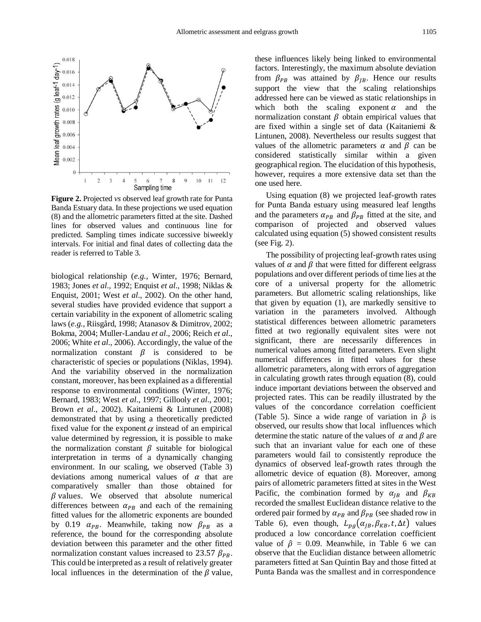

**Figure 2.** Projected *vs* observed leaf growth rate for Punta Banda Estuary data. In these projections we used equation (8) and the allometric parameters fitted at the site. Dashed lines for observed values and continuous line for predicted. Sampling times indicate successive biweekly intervals. For initial and final dates of collecting data the reader is referred to Table 3.

biological relationship (*e.g.*, Winter, 1976; Bernard, 1983; Jones *et al*., 1992; Enquist *et al*., 1998; Niklas & Enquist, 2001; West *et al*., 2002). On the other hand, several studies have provided evidence that support a certain variability in the exponent of allometric scaling laws (*e.g.*, Riisgård, 1998; Atanasov & Dimitrov, 2002; Bokma, 2004; Muller-Landau *et al*., 2006; Reich *et al*., 2006; White *et al*., 2006). Accordingly, the value of the normalization constant  $\beta$  is considered to be characteristic of species or populations (Niklas, 1994). And the variability observed in the normalization constant, moreover, has been explained as a differential response to environmental conditions (Winter, 1976; Bernard, 1983; West *et al*., 1997; Gillooly *et al*., 2001; Brown *et al*., 2002). Kaitaniemi & Lintunen (2008) demonstrated that by using a theoretically predicted fixed value for the exponent  $\alpha$  instead of an empirical value determined by regression, it is possible to make the normalization constant  $\beta$  suitable for biological interpretation in terms of a dynamically changing environment. In our scaling, we observed (Table 3) deviations among numerical values of  $\alpha$  that are comparatively smaller than those obtained for  $\beta$  values. We observed that absolute numerical differences between  $\alpha_{PB}$  and each of the remaining fitted values for the allometric exponents are bounded by 0.19  $\alpha_{PB}$ . Meanwhile, taking now  $\beta_{PB}$  as a reference, the bound for the corresponding absolute deviation between this parameter and the other fitted normalization constant values increased to 23.57  $\beta_{PR}$ . This could be interpreted as a result of relatively greater local influences in the determination of the  $\beta$  value,

these influences likely being linked to environmental factors. Interestingly, the maximum absolute deviation from  $\beta_{PB}$  was attained by  $\beta_{IB}$ . Hence our results support the view that the scaling relationships addressed here can be viewed as static relationships in which both the scaling exponent  $\alpha$  and the normalization constant  $\beta$  obtain empirical values that are fixed within a single set of data (Kaitaniemi & Lintunen, 2008). Nevertheless our results suggest that values of the allometric parameters  $\alpha$  and  $\beta$  can be considered statistically similar within a given geographical region. The elucidation of this hypothesis, however, requires a more extensive data set than the one used here.

Using equation (8) we projected leaf-growth rates for Punta Banda estuary using measured leaf lengths and the parameters  $\alpha_{PB}$  and  $\beta_{PB}$  fitted at the site, and comparison of projected and observed values calculated using equation (5) showed consistent results (see Fig. 2).

The possibility of projecting leaf-growth rates using values of  $\alpha$  and  $\beta$  that were fitted for different eelgrass populations and over different periods of time lies at the core of a universal property for the allometric parameters. But allometric scaling relationships, like that given by equation (1), are markedly sensitive to variation in the parameters involved. Although statistical differences between allometric parameters fitted at two regionally equivalent sites were not significant, there are necessarily differences in numerical values among fitted parameters. Even slight numerical differences in fitted values for these allometric parameters, along with errors of aggregation in calculating growth rates through equation (8), could induce important deviations between the observed and projected rates. This can be readily illustrated by the values of the concordance correlation coefficient (Table 5). Since a wide range of variation in  $\hat{\rho}$  is observed, our results show that local influences which determine the static nature of the values of  $\alpha$  and  $\beta$  are such that an invariant value for each one of these parameters would fail to consistently reproduce the dynamics of observed leaf-growth rates through the allometric device of equation (8). Moreover, among pairs of allometric parameters fitted at sites in the West Pacific, the combination formed by  $\alpha_{IB}$  and  $\beta_{KB}$ recorded the smallest Euclidean distance relative to the ordered pair formed by  $\alpha_{PB}$  and  $\beta_{PB}$  (see shaded row in Table 6), even though,  $L_{pg}(\alpha_{IB}, \beta_{KB}, t, \Delta t)$  values produced a low concordance correlation coefficient value of  $\hat{\rho} = 0.09$ . Meanwhile, in Table 6 we can observe that the Euclidian distance between allometric parameters fitted at San Quintin Bay and those fitted at Punta Banda was the smallest and in correspondence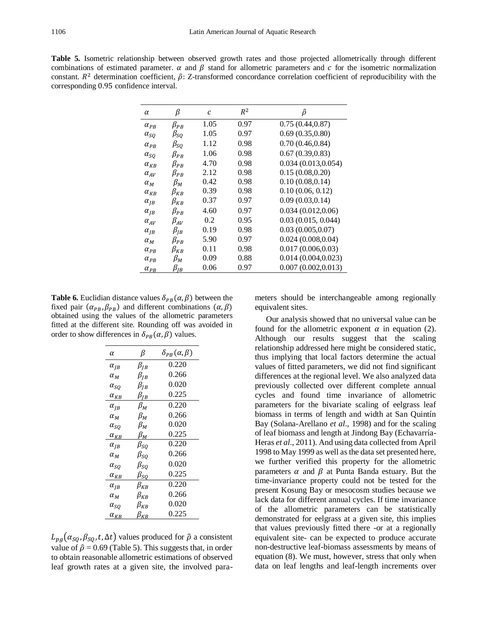**Table 5.** Isometric relationship between observed growth rates and those projected allometrically through different combinations of estimated parameter.  $\alpha$  and  $\beta$  stand for allometric parameters and c for the isometric normalization constant.  $R^2$  determination coefficient,  $\hat{\rho}$ : Z-transformed concordance correlation coefficient of reproducibility with the corresponding 0.95 confidence interval.

| α                 | β                               | C    | $R^2$ | ô                   |
|-------------------|---------------------------------|------|-------|---------------------|
| $\alpha_{PR}$     | $\beta_{PB}$                    | 1.05 | 0.97  | 0.75(0.44, 0.87)    |
| $\alpha_{SQ}$     | $\beta_{SQ}$                    | 1.05 | 0.97  | 0.69(0.35, 0.80)    |
| $\alpha_{PB}$     | $\beta_{SO}$                    | 1.12 | 0.98  | 0.70(0.46, 0.84)    |
| $\alpha_{SQ}$     | $\beta_{\scriptscriptstyle PB}$ | 1.06 | 0.98  | 0.67(0.39, 0.83)    |
| $\alpha_{\it KB}$ | $\beta_{\scriptscriptstyle PB}$ | 4.70 | 0.98  | 0.034(0.013, 0.054) |
| $\alpha_{AV}$     | $\beta_{\scriptscriptstyle PB}$ | 2.12 | 0.98  | 0.15(0.08, 0.20)    |
| $\alpha_M$        | $\beta_M$                       | 0.42 | 0.98  | 0.10(0.08, 0.14)    |
| $\alpha_{\it KB}$ | $\beta_{KB}$                    | 0.39 | 0.98  | 0.10(0.06, 0.12)    |
| $\alpha_{IB}$     | $\beta_{\it KB}$                | 0.37 | 0.97  | 0.09(0.03, 0.14)    |
| $\alpha_{IB}$     | $\beta_{\scriptscriptstyle PB}$ | 4.60 | 0.97  | 0.034(0.012, 0.06)  |
| $\alpha_{AV}$     | $\beta_{AV}$                    | 0.2  | 0.95  | 0.03(0.015, 0.044)  |
| $\alpha_{IB}$     | $\beta_{IB}$                    | 0.19 | 0.98  | 0.03(0.005, 0.07)   |
| $\alpha_M$        | $\beta_{PB}$                    | 5.90 | 0.97  | 0.024(0.008, 0.04)  |
| $\alpha_{PR}$     | $\beta_{\mathit{KB}}$           | 0.11 | 0.98  | 0.017(0.006, 0.03)  |
| $\alpha_{PB}$     | $\beta_M$                       | 0.09 | 0.88  | 0.014(0.004, 0.023) |
| $\alpha_{PR}$     | $\beta_{\underline{IB}}$        | 0.06 | 0.97  | 0.007(0.002, 0.013) |

**Table 6.** Euclidian distance values  $\delta_{PB}(\alpha, \beta)$  between the fixed pair  $(\alpha_{PB}, \beta_{PB})$  and different combinations  $(\alpha, \beta)$ obtained using the values of the allometric parameters fitted at the different site. Rounding off was avoided in order to show differences in  $\delta_{PB}(\alpha, \beta)$  values.

| α                               | β                               | $\delta_{\scriptscriptstyle PB}(\alpha,\beta)$ |
|---------------------------------|---------------------------------|------------------------------------------------|
| $\alpha_{JB}$                   | $\beta_{IB}$                    | 0.220                                          |
| $\alpha_M$                      | $\beta_{JB}$                    | 0.266                                          |
| $\alpha_{SQ}$                   | $\beta_{IB}$                    | 0.020                                          |
| $\alpha_{KB}$                   | $\beta_{IB}$                    | 0.225                                          |
| $\alpha_{IB}$                   | $\beta_M$                       | 0.220                                          |
| $\alpha_{\scriptscriptstyle M}$ | $\beta_M$                       | 0.266                                          |
| $\alpha_{SQ}$                   | $\beta_M$                       | 0.020                                          |
| $\alpha_{\textit{KB}}$          | $\beta_M$                       | 0.225                                          |
| $\alpha_{IB}$                   | $\beta_{SQ}$                    | 0.220                                          |
| $\alpha_M$                      | $\beta_{SQ}$                    | 0.266                                          |
| $\alpha_{SQ}$                   | $\beta_{SQ}$                    | 0.020                                          |
| $\alpha_{\it KB}$               | $\beta_{\mathit{SQ}}$           | 0.225                                          |
| $\alpha_{IB}$                   | $\beta_{\scriptscriptstyle KB}$ | 0.220                                          |
| $\alpha_{\scriptscriptstyle M}$ | $\beta_{\scriptscriptstyle KB}$ | 0.266                                          |
| $\alpha_{SQ}$                   | $\beta_{KB}$                    | 0.020                                          |
| $\alpha_{KB}$                   | $\beta_{KB}$                    | 0.225                                          |

 $L_{na}(\alpha_{SO}, \beta_{SO}, t, \Delta t)$  values produced for  $\hat{\rho}$  a consistent value of  $\hat{\rho} = 0.69$  (Table 5). This suggests that, in order to obtain reasonable allometric estimations of observed leaf growth rates at a given site, the involved parameters should be interchangeable among regionally equivalent sites.

Our analysis showed that no universal value can be found for the allometric exponent  $\alpha$  in equation (2). Although our results suggest that the scaling relationship addressed here might be considered static, thus implying that local factors determine the actual values of fitted parameters, we did not find significant differences at the regional level. We also analyzed data previously collected over different complete annual cycles and found time invariance of allometric parameters for the bivariate scaling of eelgrass leaf biomass in terms of length and width at San Quintín Bay (Solana-Arellano *et al*., 1998) and for the scaling of leaf biomass and length at Jindong Bay (Echavarría-Heras *et al*., 2011). And using data collected from April 1998 to May 1999 as well as the data set presented here, we further verified this property for the allometric parameters  $\alpha$  and  $\beta$  at Punta Banda estuary. But the time-invariance property could not be tested for the present Kosung Bay or mesocosm studies because we lack data for different annual cycles. If time invariance of the allometric parameters can be statistically demonstrated for eelgrass at a given site, this implies that values previously fitted there -or at a regionally equivalent site- can be expected to produce accurate non-destructive leaf-biomass assessments by means of equation (8). We must, however, stress that only when data on leaf lengths and leaf-length increments over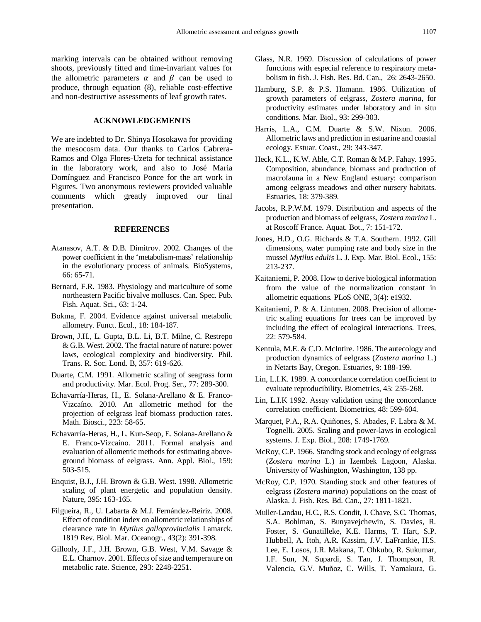marking intervals can be obtained without removing shoots, previously fitted and time-invariant values for the allometric parameters  $\alpha$  and  $\beta$  can be used to produce, through equation (8), reliable cost-effective and non-destructive assessments of leaf growth rates.

#### **ACKNOWLEDGEMENTS**

We are indebted to Dr. Shinya Hosokawa for providing the mesocosm data. Our thanks to Carlos Cabrera-Ramos and Olga Flores-Uzeta for technical assistance in the laboratory work, and also to José Maria Domínguez and Francisco Ponce for the art work in Figures. Two anonymous reviewers provided valuable comments which greatly improved our final presentation.

#### **REFERENCES**

- Atanasov, A.T. & D.B. Dimitrov. 2002. Changes of the power coefficient in the 'metabolism-mass' relationship in the evolutionary process of animals. BioSystems, 66: 65-71.
- Bernard, F.R. 1983. Physiology and mariculture of some northeastern Pacific bivalve molluscs. Can. Spec. Pub. Fish. Aquat. Sci., 63: 1-24.
- Bokma, F. 2004. Evidence against universal metabolic allometry. Funct. Ecol., 18: 184-187.
- Brown, J.H., L. Gupta, B.L. Li, B.T. Milne, C. Restrepo & G.B. West. 2002. The fractal nature of nature: power laws, ecological complexity and biodiversity. Phil. Trans. R. Soc. Lond. B, 357: 619-626.
- Duarte, C.M. 1991. Allometric scaling of seagrass form and productivity. Mar. Ecol. Prog. Ser., 77: 289-300.
- Echavarría-Heras, H., E. Solana-Arellano & E. Franco-Vizcaíno. 2010. An allometric method for the projection of eelgrass leaf biomass production rates. Math. Biosci., 223: 58-65.
- Echavarría-Heras, H., L. Kun-Seop, E. Solana-Arellano & E. Franco-Vizcaíno. 2011. Formal analysis and evaluation of allometric methods for estimating aboveground biomass of eelgrass. Ann. Appl. Biol., 159: 503-515.
- Enquist, B.J., J.H. Brown & G.B. West. 1998. Allometric scaling of plant energetic and population density. Nature, 395: 163-165.
- Filgueira, R., U. Labarta & M.J. Fernández-Reiriz. 2008. Effect of condition index on allometric relationships of clearance rate in *Mytilus galloprovincialis* Lamarck. 1819 Rev. Biol. Mar. Oceanogr., 43(2): 391-398.
- Gillooly, J.F., J.H. Brown, G.B. West, V.M. Savage & E.L. Charnov. 2001. Effects of size and temperature on metabolic rate. Science, 293: 2248-2251.
- Glass, N.R. 1969. Discussion of calculations of power functions with especial reference to respiratory metabolism in fish. J. Fish. Res. Bd. Can., 26: 2643-2650.
- Hamburg, S.P. & P.S. Homann. 1986. Utilization of growth parameters of eelgrass, *Zostera marina*, for productivity estimates under laboratory and in situ conditions. Mar. Biol., 93: 299-303.
- Harris, L.A., C.M. Duarte & S.W. Nixon. 2006. Allometric laws and prediction in estuarine and coastal ecology. Estuar. Coast., 29: 343-347.
- Heck, K.L., K.W. Able, C.T. Roman & M.P. Fahay. 1995. Composition, abundance, biomass and production of macrofauna in a New England estuary: comparison among eelgrass meadows and other nursery habitats. Estuaries, 18: 379-389.
- Jacobs, R.P.W.M. 1979. Distribution and aspects of the production and biomass of eelgrass, *Zostera marina* L. at Roscoff France. Aquat. Bot., 7: 151-172.
- Jones, H.D., O.G. Richards & T.A. Southern. 1992. Gill dimensions, water pumping rate and body size in the mussel *Mytilus edulis* L. J. Exp. Mar. Biol. Ecol., 155: 213-237.
- Kaitaniemi, P. 2008. How to derive biological information from the value of the normalization constant in allometric equations. PLoS ONE, 3(4): e1932.
- Kaitaniemi, P. & A. Lintunen. 2008. Precision of allometric scaling equations for trees can be improved by including the effect of ecological interactions. Trees, 22: 579-584.
- Kentula, M.E. & C.D. McIntire. 1986. The autecology and production dynamics of eelgrass (*Zostera marina* L.) in Netarts Bay, Oregon. Estuaries, 9: 188-199.
- Lin, L.I.K. 1989. A concordance correlation coefficient to evaluate reproducibility. Biometrics, 45: 255-268.
- Lin, L.I.K 1992. Assay validation using the concordance correlation coefficient. Biometrics, 48: 599-604.
- Marquet, P.A., R.A. Quiñones, S. Abades, F. Labra & M. Tognelli. 2005. Scaling and power-laws in ecological systems. J. Exp. Biol., 208: 1749-1769.
- McRoy, C.P. 1966. Standing stock and ecology of eelgrass (*Zostera marina* L.) in Izembek Lagoon, Alaska. University of Washington, Washington, 138 pp.
- McRoy, C.P. 1970. Standing stock and other features of eelgrass (*Zostera marina*) populations on the coast of Alaska. J. Fish. Res. Bd. Can., 27: 1811-1821.
- Muller-Landau, H.C., R.S. Condit, J. Chave, S.C. Thomas, S.A. Bohlman, S. Bunyavejchewin, S. Davies, R. Foster, S. Gunatilleke, K.E. Harms, T. Hart, S.P. Hubbell, A. Itoh, A.R. Kassim, J.V. LaFrankie, H.S. Lee, E. Losos, J.R. Makana, T. Ohkubo, R. Sukumar, I.F. Sun, N. Supardi, S. Tan, J. Thompson, R. Valencia, G.V. Muñoz, C. Wills, T. Yamakura, G.